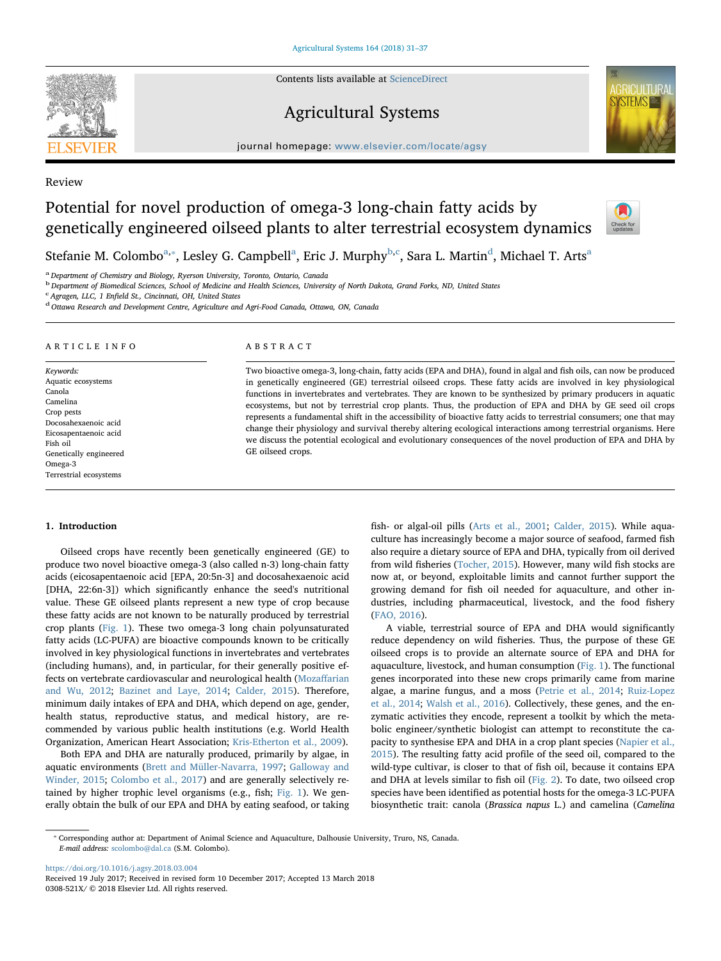Contents lists available at [ScienceDirect](http://www.sciencedirect.com/science/journal/0308521X)

## Agricultural Systems

 $j<sub>i</sub>$  is a homepage: [www.elsevier.com/locate/agsy](https://www.elsevier.com/locate/agsy)



## Review

# Potential for novel production of omega-3 long-chain fatty acids by genetically engineered oilseed plants to alter terrestrial ecosystem dynamics



Stef[a](#page-0-0)nie M. Colombo<sup>a,</sup>\*, Lesley G. Campbell<sup>a</sup>, Eric J. Murphy<sup>[b,](#page-0-2)[c](#page-0-3)</sup>, Sara L. Martin<sup>[d](#page-0-4)</sup>, Michael T. Arts<sup>a</sup>

<span id="page-0-0"></span><sup>a</sup> Department of Chemistry and Biology, Ryerson University, Toronto, Ontario, Canada

<span id="page-0-2"></span><sup>b</sup> Department of Biomedical Sciences, School of Medicine and Health Sciences, University of North Dakota, Grand Forks, ND, United States

<span id="page-0-3"></span><sup>c</sup> Agragen, LLC, 1 Enfield St., Cincinnati, OH, United States

<span id="page-0-4"></span><sup>d</sup> Ottawa Research and Development Centre, Agriculture and Agri-Food Canada, Ottawa, ON, Canada

## ARTICLE INFO

Keywords: Aquatic ecosystems Canola Camelina Crop pests Docosahexaenoic acid Eicosapentaenoic acid Fish oil Genetically engineered Omega-3 Terrestrial ecosystems

## ABSTRACT

Two bioactive omega-3, long-chain, fatty acids (EPA and DHA), found in algal and fish oils, can now be produced in genetically engineered (GE) terrestrial oilseed crops. These fatty acids are involved in key physiological functions in invertebrates and vertebrates. They are known to be synthesized by primary producers in aquatic ecosystems, but not by terrestrial crop plants. Thus, the production of EPA and DHA by GE seed oil crops represents a fundamental shift in the accessibility of bioactive fatty acids to terrestrial consumers; one that may change their physiology and survival thereby altering ecological interactions among terrestrial organisms. Here we discuss the potential ecological and evolutionary consequences of the novel production of EPA and DHA by GE oilseed crops.

#### 1. Introduction

Oilseed crops have recently been genetically engineered (GE) to produce two novel bioactive omega-3 (also called n-3) long-chain fatty acids (eicosapentaenoic acid [EPA, 20:5n-3] and docosahexaenoic acid [DHA, 22:6n-3]) which significantly enhance the seed's nutritional value. These GE oilseed plants represent a new type of crop because these fatty acids are not known to be naturally produced by terrestrial crop plants ([Fig. 1\)](#page-1-0). These two omega-3 long chain polyunsaturated fatty acids (LC-PUFA) are bioactive compounds known to be critically involved in key physiological functions in invertebrates and vertebrates (including humans), and, in particular, for their generally positive effects on vertebrate cardiovascular and neurological health [\(Moza](#page-6-0)ffarian [and Wu, 2012;](#page-6-0) [Bazinet and Laye, 2014;](#page-5-0) [Calder, 2015](#page-5-1)). Therefore, minimum daily intakes of EPA and DHA, which depend on age, gender, health status, reproductive status, and medical history, are recommended by various public health institutions (e.g. World Health Organization, American Heart Association; [Kris-Etherton et al., 2009\)](#page-5-2).

Both EPA and DHA are naturally produced, primarily by algae, in aquatic environments ([Brett and Müller-Navarra, 1997](#page-5-3); [Galloway and](#page-5-4) [Winder, 2015;](#page-5-4) [Colombo et al., 2017\)](#page-5-5) and are generally selectively retained by higher trophic level organisms (e.g., fish; [Fig. 1](#page-1-0)). We generally obtain the bulk of our EPA and DHA by eating seafood, or taking fish- or algal-oil pills ([Arts et al., 2001;](#page-5-6) [Calder, 2015\)](#page-5-1). While aquaculture has increasingly become a major source of seafood, farmed fish also require a dietary source of EPA and DHA, typically from oil derived from wild fisheries ([Tocher, 2015\)](#page-6-1). However, many wild fish stocks are now at, or beyond, exploitable limits and cannot further support the growing demand for fish oil needed for aquaculture, and other industries, including pharmaceutical, livestock, and the food fishery ([FAO, 2016\)](#page-5-7).

A viable, terrestrial source of EPA and DHA would significantly reduce dependency on wild fisheries. Thus, the purpose of these GE oilseed crops is to provide an alternate source of EPA and DHA for aquaculture, livestock, and human consumption ([Fig. 1](#page-1-0)). The functional genes incorporated into these new crops primarily came from marine algae, a marine fungus, and a moss ([Petrie et al., 2014;](#page-6-2) [Ruiz-Lopez](#page-6-3) [et al., 2014](#page-6-3); [Walsh et al., 2016](#page-6-4)). Collectively, these genes, and the enzymatic activities they encode, represent a toolkit by which the metabolic engineer/synthetic biologist can attempt to reconstitute the capacity to synthesise EPA and DHA in a crop plant species [\(Napier et al.,](#page-6-5) [2015\)](#page-6-5). The resulting fatty acid profile of the seed oil, compared to the wild-type cultivar, is closer to that of fish oil, because it contains EPA and DHA at levels similar to fish oil ([Fig. 2\)](#page-1-1). To date, two oilseed crop species have been identified as potential hosts for the omega-3 LC-PUFA biosynthetic trait: canola (Brassica napus L.) and camelina (Camelina

<https://doi.org/10.1016/j.agsy.2018.03.004> Received 19 July 2017; Received in revised form 10 December 2017; Accepted 13 March 2018 0308-521X/ © 2018 Elsevier Ltd. All rights reserved.

<span id="page-0-1"></span><sup>⁎</sup> Corresponding author at: Department of Animal Science and Aquaculture, Dalhousie University, Truro, NS, Canada. E-mail address: [scolombo@dal.ca](mailto:scolombo@dal.ca) (S.M. Colombo).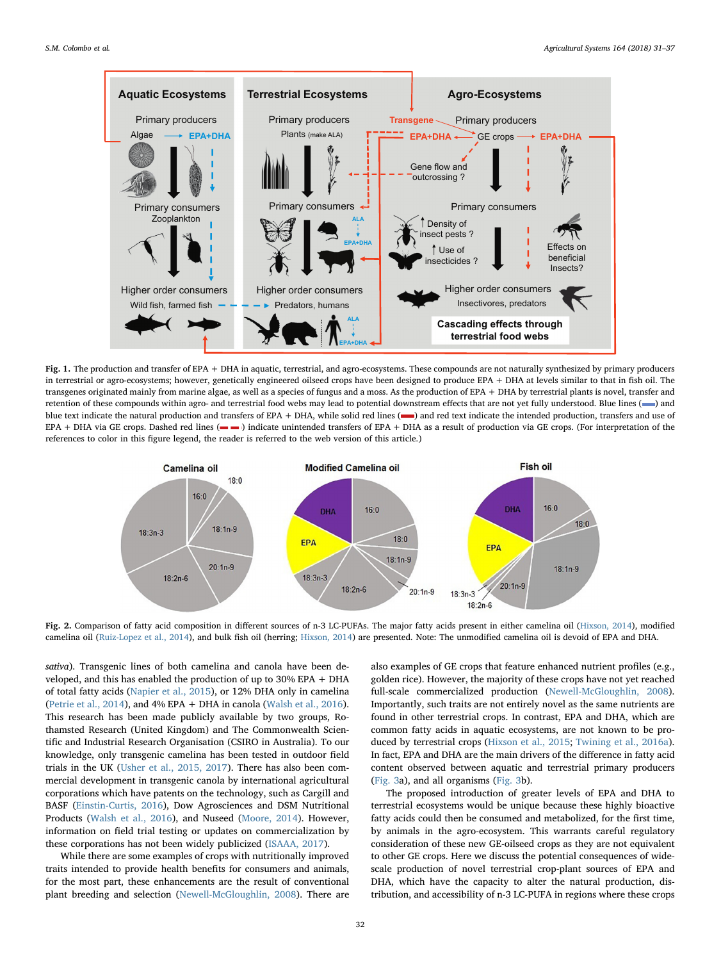<span id="page-1-0"></span>

Fig. 1. The production and transfer of EPA + DHA in aquatic, terrestrial, and agro-ecosystems. These compounds are not naturally synthesized by primary producers in terrestrial or agro-ecosystems; however, genetically engineered oilseed crops have been designed to produce EPA + DHA at levels similar to that in fish oil. The transgenes originated mainly from marine algae, as well as a species of fungus and a moss. As the production of EPA + DHA by terrestrial plants is novel, transfer and retention of these compounds within agro- and terrestrial food webs may lead to potential downstream effects that are not yet fully understood. Blue lines (-) and blue text indicate the natural production and transfers of EPA + DHA, while solid red lines (-) and red text indicate the intended production, transfers and use of EPA + DHA via GE crops. Dashed red lines (- ) indicate unintended transfers of EPA + DHA as a result of production via GE crops. (For interpretation of the references to color in this figure legend, the reader is referred to the web version of this article.)

<span id="page-1-1"></span>

Fig. 2. Comparison of fatty acid composition in different sources of n-3 LC-PUFAs. The major fatty acids present in either camelina oil [\(Hixson, 2014](#page-5-11)), modified camelina oil ([Ruiz-Lopez et al., 2014](#page-6-3)), and bulk fish oil (herring; [Hixson, 2014](#page-5-11)) are presented. Note: The unmodified camelina oil is devoid of EPA and DHA.

sativa). Transgenic lines of both camelina and canola have been developed, and this has enabled the production of up to 30% EPA + DHA of total fatty acids ([Napier et al., 2015](#page-6-5)), or 12% DHA only in camelina ([Petrie et al., 2014\)](#page-6-2), and 4% EPA + DHA in canola [\(Walsh et al., 2016](#page-6-4)). This research has been made publicly available by two groups, Rothamsted Research (United Kingdom) and The Commonwealth Scientific and Industrial Research Organisation (CSIRO in Australia). To our knowledge, only transgenic camelina has been tested in outdoor field trials in the UK ([Usher et al., 2015, 2017\)](#page-6-6). There has also been commercial development in transgenic canola by international agricultural corporations which have patents on the technology, such as Cargill and BASF ([Einstin-Curtis, 2016\)](#page-5-8), Dow Agrosciences and DSM Nutritional Products ([Walsh et al., 2016](#page-6-4)), and Nuseed ([Moore, 2014](#page-6-7)). However, information on field trial testing or updates on commercialization by these corporations has not been widely publicized ([ISAAA, 2017\)](#page-5-9).

While there are some examples of crops with nutritionally improved traits intended to provide health benefits for consumers and animals, for the most part, these enhancements are the result of conventional plant breeding and selection [\(Newell-McGloughlin, 2008\)](#page-6-8). There are also examples of GE crops that feature enhanced nutrient profiles (e.g., golden rice). However, the majority of these crops have not yet reached full-scale commercialized production ([Newell-McGloughlin, 2008](#page-6-8)). Importantly, such traits are not entirely novel as the same nutrients are found in other terrestrial crops. In contrast, EPA and DHA, which are common fatty acids in aquatic ecosystems, are not known to be produced by terrestrial crops [\(Hixson et al., 2015](#page-5-10); [Twining et al., 2016a](#page-6-9)). In fact, EPA and DHA are the main drivers of the difference in fatty acid content observed between aquatic and terrestrial primary producers ([Fig. 3a](#page-2-0)), and all organisms [\(Fig. 3b](#page-2-0)).

The proposed introduction of greater levels of EPA and DHA to terrestrial ecosystems would be unique because these highly bioactive fatty acids could then be consumed and metabolized, for the first time, by animals in the agro-ecosystem. This warrants careful regulatory consideration of these new GE-oilseed crops as they are not equivalent to other GE crops. Here we discuss the potential consequences of widescale production of novel terrestrial crop-plant sources of EPA and DHA, which have the capacity to alter the natural production, distribution, and accessibility of n-3 LC-PUFA in regions where these crops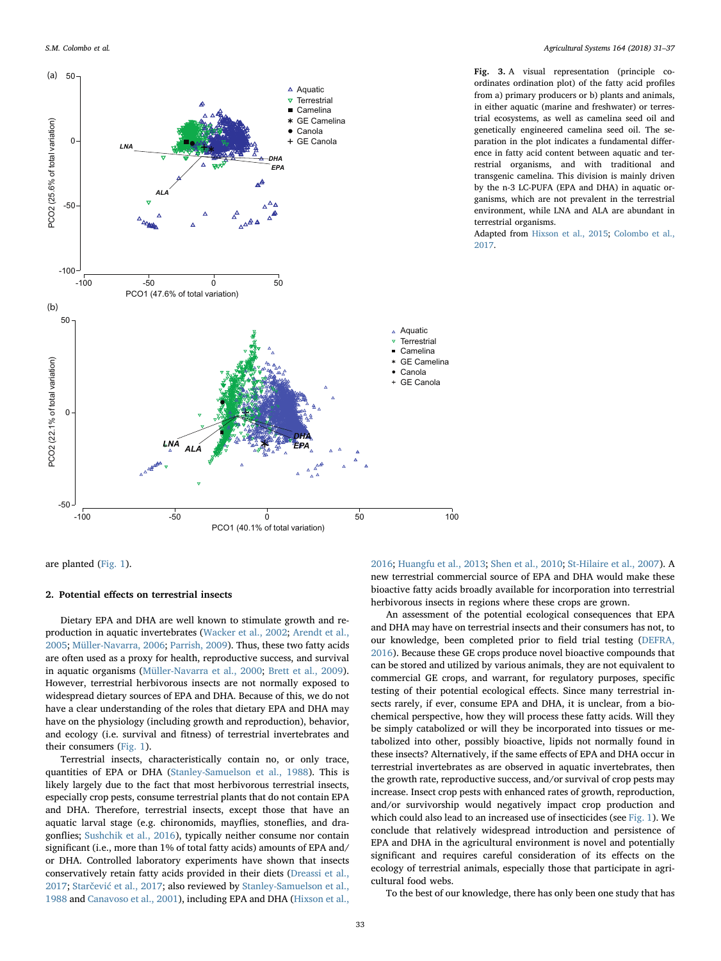<span id="page-2-0"></span>

Fig. 3. A visual representation (principle coordinates ordination plot) of the fatty acid profiles from a) primary producers or b) plants and animals, in either aquatic (marine and freshwater) or terrestrial ecosystems, as well as camelina seed oil and genetically engineered camelina seed oil. The separation in the plot indicates a fundamental difference in fatty acid content between aquatic and terrestrial organisms, and with traditional and transgenic camelina. This division is mainly driven by the n-3 LC-PUFA (EPA and DHA) in aquatic organisms, which are not prevalent in the terrestrial environment, while LNA and ALA are abundant in terrestrial organisms.

Adapted from [Hixson et al., 2015](#page-5-10); [Colombo et al.,](#page-5-5) [2017](#page-5-5).

are planted ([Fig. 1\)](#page-1-0).

## 2. Potential effects on terrestrial insects

Dietary EPA and DHA are well known to stimulate growth and reproduction in aquatic invertebrates [\(Wacker et al., 2002](#page-6-10); [Arendt et al.,](#page-5-12) [2005;](#page-5-12) [Müller-Navarra, 2006](#page-6-11); [Parrish, 2009\)](#page-6-12). Thus, these two fatty acids are often used as a proxy for health, reproductive success, and survival in aquatic organisms [\(Müller-Navarra et al., 2000;](#page-6-13) [Brett et al., 2009](#page-5-13)). However, terrestrial herbivorous insects are not normally exposed to widespread dietary sources of EPA and DHA. Because of this, we do not have a clear understanding of the roles that dietary EPA and DHA may have on the physiology (including growth and reproduction), behavior, and ecology (i.e. survival and fitness) of terrestrial invertebrates and their consumers ([Fig. 1](#page-1-0)).

Terrestrial insects, characteristically contain no, or only trace, quantities of EPA or DHA [\(Stanley-Samuelson et al., 1988\)](#page-6-14). This is likely largely due to the fact that most herbivorous terrestrial insects, especially crop pests, consume terrestrial plants that do not contain EPA and DHA. Therefore, terrestrial insects, except those that have an aquatic larval stage (e.g. chironomids, mayflies, stoneflies, and dragonflies; [Sushchik et al., 2016](#page-6-15)), typically neither consume nor contain significant (i.e., more than 1% of total fatty acids) amounts of EPA and/ or DHA. Controlled laboratory experiments have shown that insects conservatively retain fatty acids provided in their diets [\(Dreassi et al.,](#page-5-14) [2017;](#page-5-14) Starčević [et al., 2017](#page-6-16); also reviewed by [Stanley-Samuelson et al.,](#page-6-14) [1988](#page-6-14) and [Canavoso et al., 2001](#page-5-15)), including EPA and DHA ([Hixson et al.,](#page-5-16)

[2016;](#page-5-16) [Huangfu et al., 2013](#page-5-17); [Shen et al., 2010;](#page-6-17) [St-Hilaire et al., 2007\)](#page-6-18). A new terrestrial commercial source of EPA and DHA would make these bioactive fatty acids broadly available for incorporation into terrestrial herbivorous insects in regions where these crops are grown.

An assessment of the potential ecological consequences that EPA and DHA may have on terrestrial insects and their consumers has not, to our knowledge, been completed prior to field trial testing [\(DEFRA,](#page-5-18) [2016\)](#page-5-18). Because these GE crops produce novel bioactive compounds that can be stored and utilized by various animals, they are not equivalent to commercial GE crops, and warrant, for regulatory purposes, specific testing of their potential ecological effects. Since many terrestrial insects rarely, if ever, consume EPA and DHA, it is unclear, from a biochemical perspective, how they will process these fatty acids. Will they be simply catabolized or will they be incorporated into tissues or metabolized into other, possibly bioactive, lipids not normally found in these insects? Alternatively, if the same effects of EPA and DHA occur in terrestrial invertebrates as are observed in aquatic invertebrates, then the growth rate, reproductive success, and/or survival of crop pests may increase. Insect crop pests with enhanced rates of growth, reproduction, and/or survivorship would negatively impact crop production and which could also lead to an increased use of insecticides (see [Fig. 1](#page-1-0)). We conclude that relatively widespread introduction and persistence of EPA and DHA in the agricultural environment is novel and potentially significant and requires careful consideration of its effects on the ecology of terrestrial animals, especially those that participate in agricultural food webs.

To the best of our knowledge, there has only been one study that has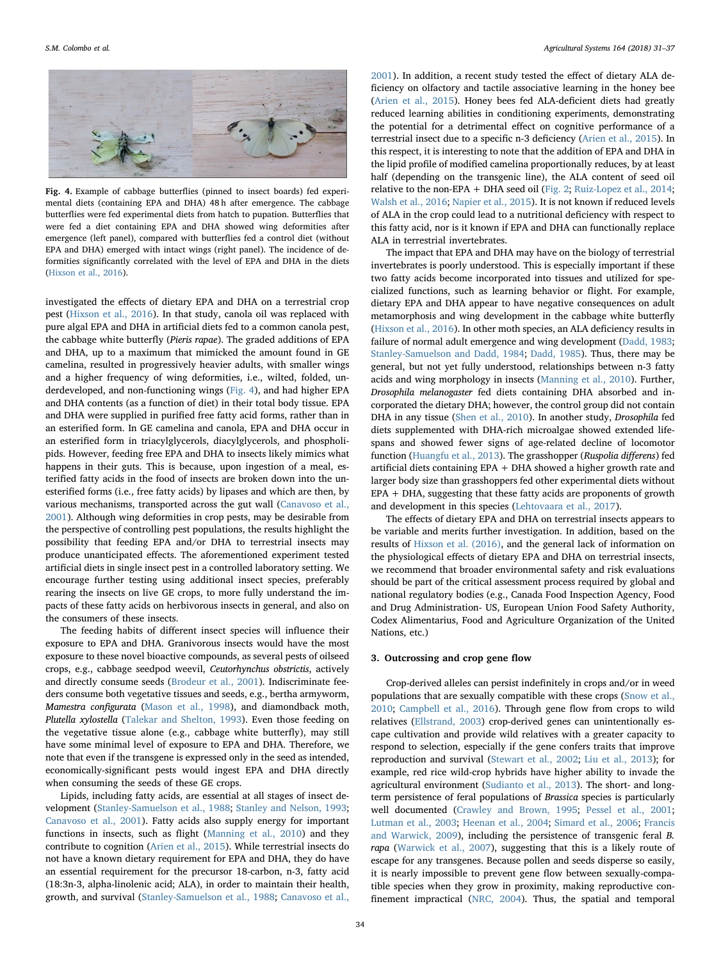<span id="page-3-0"></span>

Fig. 4. Example of cabbage butterflies (pinned to insect boards) fed experimental diets (containing EPA and DHA) 48 h after emergence. The cabbage butterflies were fed experimental diets from hatch to pupation. Butterflies that were fed a diet containing EPA and DHA showed wing deformities after emergence (left panel), compared with butterflies fed a control diet (without EPA and DHA) emerged with intact wings (right panel). The incidence of deformities significantly correlated with the level of EPA and DHA in the diets [\(Hixson et al., 2016](#page-5-16)).

investigated the effects of dietary EPA and DHA on a terrestrial crop pest ([Hixson et al., 2016](#page-5-16)). In that study, canola oil was replaced with pure algal EPA and DHA in artificial diets fed to a common canola pest, the cabbage white butterfly (Pieris rapae). The graded additions of EPA and DHA, up to a maximum that mimicked the amount found in GE camelina, resulted in progressively heavier adults, with smaller wings and a higher frequency of wing deformities, i.e., wilted, folded, underdeveloped, and non-functioning wings [\(Fig. 4](#page-3-0)), and had higher EPA and DHA contents (as a function of diet) in their total body tissue. EPA and DHA were supplied in purified free fatty acid forms, rather than in an esterified form. In GE camelina and canola, EPA and DHA occur in an esterified form in triacylglycerols, diacylglycerols, and phospholipids. However, feeding free EPA and DHA to insects likely mimics what happens in their guts. This is because, upon ingestion of a meal, esterified fatty acids in the food of insects are broken down into the unesterified forms (i.e., free fatty acids) by lipases and which are then, by various mechanisms, transported across the gut wall ([Canavoso et al.,](#page-5-15) [2001\)](#page-5-15). Although wing deformities in crop pests, may be desirable from the perspective of controlling pest populations, the results highlight the possibility that feeding EPA and/or DHA to terrestrial insects may produce unanticipated effects. The aforementioned experiment tested artificial diets in single insect pest in a controlled laboratory setting. We encourage further testing using additional insect species, preferably rearing the insects on live GE crops, to more fully understand the impacts of these fatty acids on herbivorous insects in general, and also on the consumers of these insects.

The feeding habits of different insect species will influence their exposure to EPA and DHA. Granivorous insects would have the most exposure to these novel bioactive compounds, as several pests of oilseed crops, e.g., cabbage seedpod weevil, Ceutorhynchus obstrictis, actively and directly consume seeds ([Brodeur et al., 2001\)](#page-5-19). Indiscriminate feeders consume both vegetative tissues and seeds, e.g., bertha armyworm, Mamestra configurata ([Mason et al., 1998](#page-6-19)), and diamondback moth, Plutella xylostella ([Talekar and Shelton, 1993\)](#page-6-20). Even those feeding on the vegetative tissue alone (e.g., cabbage white butterfly), may still have some minimal level of exposure to EPA and DHA. Therefore, we note that even if the transgene is expressed only in the seed as intended, economically-significant pests would ingest EPA and DHA directly when consuming the seeds of these GE crops.

Lipids, including fatty acids, are essential at all stages of insect development [\(Stanley-Samuelson et al., 1988](#page-6-14); [Stanley and Nelson, 1993](#page-6-21); [Canavoso et al., 2001](#page-5-15)). Fatty acids also supply energy for important functions in insects, such as flight [\(Manning et al., 2010](#page-6-22)) and they contribute to cognition [\(Arien et al., 2015](#page-5-20)). While terrestrial insects do not have a known dietary requirement for EPA and DHA, they do have an essential requirement for the precursor 18‑carbon, n-3, fatty acid (18:3n-3, alpha-linolenic acid; ALA), in order to maintain their health, growth, and survival [\(Stanley-Samuelson et al., 1988](#page-6-14); [Canavoso et al.,](#page-5-15)

[2001\)](#page-5-15). In addition, a recent study tested the effect of dietary ALA deficiency on olfactory and tactile associative learning in the honey bee ([Arien et al., 2015](#page-5-20)). Honey bees fed ALA-deficient diets had greatly reduced learning abilities in conditioning experiments, demonstrating the potential for a detrimental effect on cognitive performance of a terrestrial insect due to a specific n-3 deficiency [\(Arien et al., 2015\)](#page-5-20). In this respect, it is interesting to note that the addition of EPA and DHA in the lipid profile of modified camelina proportionally reduces, by at least half (depending on the transgenic line), the ALA content of seed oil relative to the non-EPA + DHA seed oil [\(Fig. 2](#page-1-1); [Ruiz-Lopez et al., 2014](#page-6-3); [Walsh et al., 2016;](#page-6-4) [Napier et al., 2015\)](#page-6-5). It is not known if reduced levels of ALA in the crop could lead to a nutritional deficiency with respect to this fatty acid, nor is it known if EPA and DHA can functionally replace ALA in terrestrial invertebrates.

The impact that EPA and DHA may have on the biology of terrestrial invertebrates is poorly understood. This is especially important if these two fatty acids become incorporated into tissues and utilized for specialized functions, such as learning behavior or flight. For example, dietary EPA and DHA appear to have negative consequences on adult metamorphosis and wing development in the cabbage white butterfly ([Hixson et al., 2016](#page-5-16)). In other moth species, an ALA deficiency results in failure of normal adult emergence and wing development [\(Dadd, 1983](#page-5-21); [Stanley-Samuelson and Dadd, 1984](#page-6-23); [Dadd, 1985](#page-5-22)). Thus, there may be general, but not yet fully understood, relationships between n-3 fatty acids and wing morphology in insects ([Manning et al., 2010](#page-6-22)). Further, Drosophila melanogaster fed diets containing DHA absorbed and incorporated the dietary DHA; however, the control group did not contain DHA in any tissue [\(Shen et al., 2010\)](#page-6-17). In another study, Drosophila fed diets supplemented with DHA-rich microalgae showed extended lifespans and showed fewer signs of age-related decline of locomotor function ([Huangfu et al., 2013\)](#page-5-17). The grasshopper (Ruspolia differens) fed artificial diets containing EPA + DHA showed a higher growth rate and larger body size than grasshoppers fed other experimental diets without  $EPA + DHA$ , suggesting that these fatty acids are proponents of growth and development in this species [\(Lehtovaara et al., 2017\)](#page-5-23).

The effects of dietary EPA and DHA on terrestrial insects appears to be variable and merits further investigation. In addition, based on the results of [Hixson et al. \(2016\),](#page-5-16) and the general lack of information on the physiological effects of dietary EPA and DHA on terrestrial insects, we recommend that broader environmental safety and risk evaluations should be part of the critical assessment process required by global and national regulatory bodies (e.g., Canada Food Inspection Agency, Food and Drug Administration- US, European Union Food Safety Authority, Codex Alimentarius, Food and Agriculture Organization of the United Nations, etc.)

#### 3. Outcrossing and crop gene flow

Crop-derived alleles can persist indefinitely in crops and/or in weed populations that are sexually compatible with these crops [\(Snow et al.,](#page-6-24) [2010;](#page-6-24) [Campbell et al., 2016\)](#page-5-24). Through gene flow from crops to wild relatives ([Ellstrand, 2003\)](#page-5-25) crop-derived genes can unintentionally escape cultivation and provide wild relatives with a greater capacity to respond to selection, especially if the gene confers traits that improve reproduction and survival ([Stewart et al., 2002;](#page-6-25) [Liu et al., 2013](#page-5-26)); for example, red rice wild-crop hybrids have higher ability to invade the agricultural environment [\(Sudianto et al., 2013](#page-6-26)). The short- and longterm persistence of feral populations of Brassica species is particularly well documented ([Crawley and Brown, 1995](#page-5-27); [Pessel et al., 2001](#page-6-27); [Lutman et al., 2003](#page-5-28); [Heenan et al., 2004](#page-5-29); [Simard et al., 2006](#page-6-28); [Francis](#page-5-30) [and Warwick, 2009](#page-5-30)), including the persistence of transgenic feral B. rapa [\(Warwick et al., 2007\)](#page-6-29), suggesting that this is a likely route of escape for any transgenes. Because pollen and seeds disperse so easily, it is nearly impossible to prevent gene flow between sexually-compatible species when they grow in proximity, making reproductive confinement impractical [\(NRC, 2004\)](#page-6-30). Thus, the spatial and temporal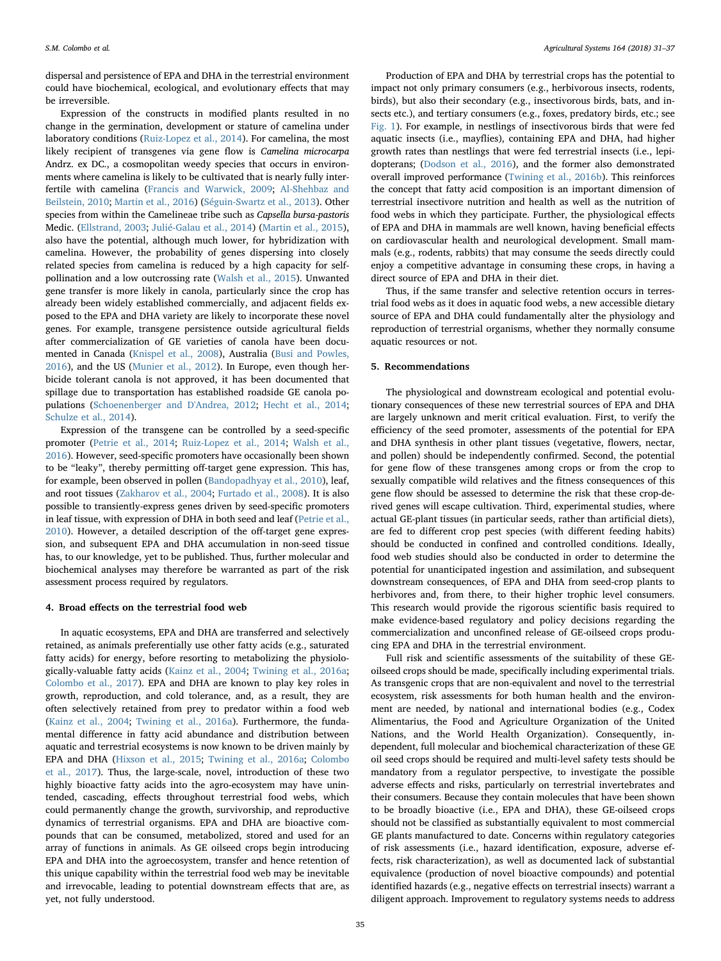dispersal and persistence of EPA and DHA in the terrestrial environment could have biochemical, ecological, and evolutionary effects that may be irreversible.

Expression of the constructs in modified plants resulted in no change in the germination, development or stature of camelina under laboratory conditions ([Ruiz-Lopez et al., 2014](#page-6-3)). For camelina, the most likely recipient of transgenes via gene flow is Camelina microcarpa Andrz. ex DC., a cosmopolitan weedy species that occurs in environments where camelina is likely to be cultivated that is nearly fully interfertile with camelina [\(Francis and Warwick, 2009](#page-5-30); [Al-Shehbaz and](#page-5-31) [Beilstein, 2010](#page-5-31); [Martin et al., 2016\)](#page-6-31) ([Séguin-Swartz et al., 2013](#page-6-32)). Other species from within the Camelineae tribe such as Capsella bursa-pastoris Medic. ([Ellstrand, 2003;](#page-5-25) [Julié-Galau et al., 2014](#page-5-32)) ([Martin et al., 2015](#page-6-33)), also have the potential, although much lower, for hybridization with camelina. However, the probability of genes dispersing into closely related species from camelina is reduced by a high capacity for selfpollination and a low outcrossing rate [\(Walsh et al., 2015\)](#page-6-34). Unwanted gene transfer is more likely in canola, particularly since the crop has already been widely established commercially, and adjacent fields exposed to the EPA and DHA variety are likely to incorporate these novel genes. For example, transgene persistence outside agricultural fields after commercialization of GE varieties of canola have been documented in Canada ([Knispel et al., 2008\)](#page-5-33), Australia [\(Busi and Powles,](#page-5-34) [2016\)](#page-5-34), and the US [\(Munier et al., 2012](#page-6-35)). In Europe, even though herbicide tolerant canola is not approved, it has been documented that spillage due to transportation has established roadside GE canola populations [\(Schoenenberger and D'Andrea, 2012;](#page-6-36) [Hecht et al., 2014](#page-5-35); [Schulze et al., 2014\)](#page-6-37).

Expression of the transgene can be controlled by a seed-specific promoter [\(Petrie et al., 2014](#page-6-2); [Ruiz-Lopez et al., 2014](#page-6-3); [Walsh et al.,](#page-6-4) [2016\)](#page-6-4). However, seed-specific promoters have occasionally been shown to be "leaky", thereby permitting off-target gene expression. This has, for example, been observed in pollen [\(Bandopadhyay et al., 2010](#page-5-36)), leaf, and root tissues ([Zakharov et al., 2004](#page-6-38); [Furtado et al., 2008\)](#page-5-37). It is also possible to transiently-express genes driven by seed-specific promoters in leaf tissue, with expression of DHA in both seed and leaf ([Petrie et al.,](#page-6-39) [2010\)](#page-6-39). However, a detailed description of the off-target gene expression, and subsequent EPA and DHA accumulation in non-seed tissue has, to our knowledge, yet to be published. Thus, further molecular and biochemical analyses may therefore be warranted as part of the risk assessment process required by regulators.

#### 4. Broad effects on the terrestrial food web

In aquatic ecosystems, EPA and DHA are transferred and selectively retained, as animals preferentially use other fatty acids (e.g., saturated fatty acids) for energy, before resorting to metabolizing the physiologically-valuable fatty acids ([Kainz et al., 2004;](#page-5-38) [Twining et al., 2016a](#page-6-9); [Colombo et al., 2017](#page-5-5)). EPA and DHA are known to play key roles in growth, reproduction, and cold tolerance, and, as a result, they are often selectively retained from prey to predator within a food web ([Kainz et al., 2004;](#page-5-38) [Twining et al., 2016a\)](#page-6-9). Furthermore, the fundamental difference in fatty acid abundance and distribution between aquatic and terrestrial ecosystems is now known to be driven mainly by EPA and DHA ([Hixson et al., 2015](#page-5-10); [Twining et al., 2016a](#page-6-9); [Colombo](#page-5-5) [et al., 2017](#page-5-5)). Thus, the large-scale, novel, introduction of these two highly bioactive fatty acids into the agro-ecosystem may have unintended, cascading, effects throughout terrestrial food webs, which could permanently change the growth, survivorship, and reproductive dynamics of terrestrial organisms. EPA and DHA are bioactive compounds that can be consumed, metabolized, stored and used for an array of functions in animals. As GE oilseed crops begin introducing EPA and DHA into the agroecosystem, transfer and hence retention of this unique capability within the terrestrial food web may be inevitable and irrevocable, leading to potential downstream effects that are, as yet, not fully understood.

Production of EPA and DHA by terrestrial crops has the potential to impact not only primary consumers (e.g., herbivorous insects, rodents, birds), but also their secondary (e.g., insectivorous birds, bats, and insects etc.), and tertiary consumers (e.g., foxes, predatory birds, etc.; see [Fig. 1](#page-1-0)). For example, in nestlings of insectivorous birds that were fed aquatic insects (i.e., mayflies), containing EPA and DHA, had higher growth rates than nestlings that were fed terrestrial insects (i.e., lepidopterans; [\(Dodson et al., 2016](#page-5-39)), and the former also demonstrated overall improved performance [\(Twining et al., 2016b](#page-6-40)). This reinforces the concept that fatty acid composition is an important dimension of terrestrial insectivore nutrition and health as well as the nutrition of food webs in which they participate. Further, the physiological effects of EPA and DHA in mammals are well known, having beneficial effects on cardiovascular health and neurological development. Small mammals (e.g., rodents, rabbits) that may consume the seeds directly could enjoy a competitive advantage in consuming these crops, in having a direct source of EPA and DHA in their diet.

Thus, if the same transfer and selective retention occurs in terrestrial food webs as it does in aquatic food webs, a new accessible dietary source of EPA and DHA could fundamentally alter the physiology and reproduction of terrestrial organisms, whether they normally consume aquatic resources or not.

## 5. Recommendations

The physiological and downstream ecological and potential evolutionary consequences of these new terrestrial sources of EPA and DHA are largely unknown and merit critical evaluation. First, to verify the efficiency of the seed promoter, assessments of the potential for EPA and DHA synthesis in other plant tissues (vegetative, flowers, nectar, and pollen) should be independently confirmed. Second, the potential for gene flow of these transgenes among crops or from the crop to sexually compatible wild relatives and the fitness consequences of this gene flow should be assessed to determine the risk that these crop-derived genes will escape cultivation. Third, experimental studies, where actual GE-plant tissues (in particular seeds, rather than artificial diets), are fed to different crop pest species (with different feeding habits) should be conducted in confined and controlled conditions. Ideally, food web studies should also be conducted in order to determine the potential for unanticipated ingestion and assimilation, and subsequent downstream consequences, of EPA and DHA from seed-crop plants to herbivores and, from there, to their higher trophic level consumers. This research would provide the rigorous scientific basis required to make evidence-based regulatory and policy decisions regarding the commercialization and unconfined release of GE-oilseed crops producing EPA and DHA in the terrestrial environment.

Full risk and scientific assessments of the suitability of these GEoilseed crops should be made, specifically including experimental trials. As transgenic crops that are non-equivalent and novel to the terrestrial ecosystem, risk assessments for both human health and the environment are needed, by national and international bodies (e.g., Codex Alimentarius, the Food and Agriculture Organization of the United Nations, and the World Health Organization). Consequently, independent, full molecular and biochemical characterization of these GE oil seed crops should be required and multi-level safety tests should be mandatory from a regulator perspective, to investigate the possible adverse effects and risks, particularly on terrestrial invertebrates and their consumers. Because they contain molecules that have been shown to be broadly bioactive (i.e., EPA and DHA), these GE-oilseed crops should not be classified as substantially equivalent to most commercial GE plants manufactured to date. Concerns within regulatory categories of risk assessments (i.e., hazard identification, exposure, adverse effects, risk characterization), as well as documented lack of substantial equivalence (production of novel bioactive compounds) and potential identified hazards (e.g., negative effects on terrestrial insects) warrant a diligent approach. Improvement to regulatory systems needs to address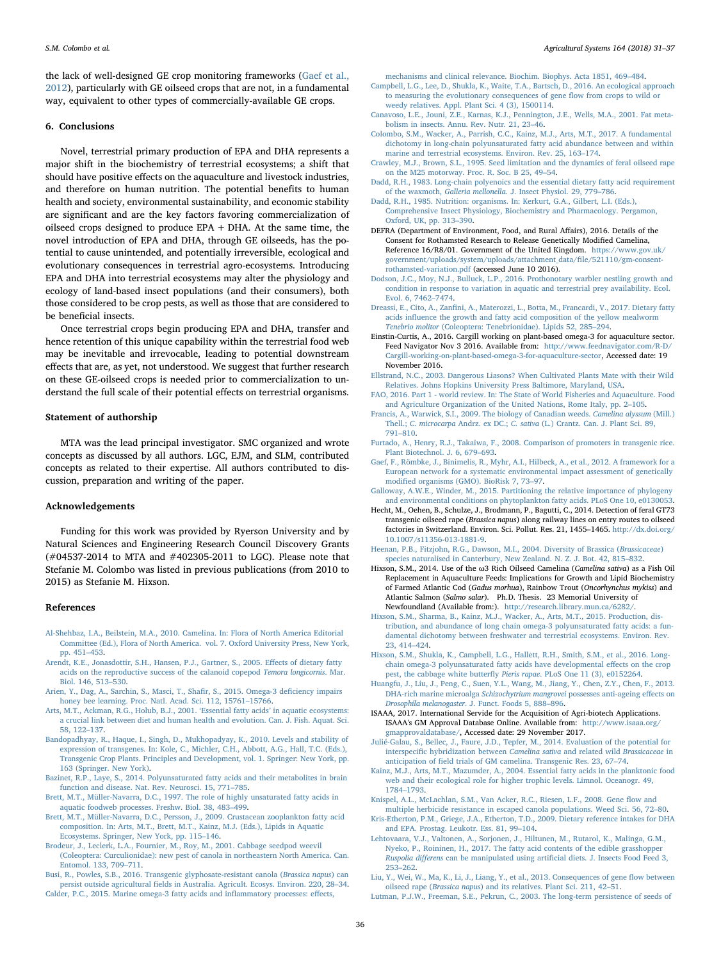the lack of well-designed GE crop monitoring frameworks ([Gaef et al.,](#page-5-40) [2012\)](#page-5-40), particularly with GE oilseed crops that are not, in a fundamental way, equivalent to other types of commercially-available GE crops.

#### 6. Conclusions

Novel, terrestrial primary production of EPA and DHA represents a major shift in the biochemistry of terrestrial ecosystems; a shift that should have positive effects on the aquaculture and livestock industries, and therefore on human nutrition. The potential benefits to human health and society, environmental sustainability, and economic stability are significant and are the key factors favoring commercialization of oilseed crops designed to produce EPA + DHA. At the same time, the novel introduction of EPA and DHA, through GE oilseeds, has the potential to cause unintended, and potentially irreversible, ecological and evolutionary consequences in terrestrial agro-ecosystems. Introducing EPA and DHA into terrestrial ecosystems may alter the physiology and ecology of land-based insect populations (and their consumers), both those considered to be crop pests, as well as those that are considered to be beneficial insects.

Once terrestrial crops begin producing EPA and DHA, transfer and hence retention of this unique capability within the terrestrial food web may be inevitable and irrevocable, leading to potential downstream effects that are, as yet, not understood. We suggest that further research on these GE-oilseed crops is needed prior to commercialization to understand the full scale of their potential effects on terrestrial organisms.

#### Statement of authorship

MTA was the lead principal investigator. SMC organized and wrote concepts as discussed by all authors. LGC, EJM, and SLM, contributed concepts as related to their expertise. All authors contributed to discussion, preparation and writing of the paper.

#### Acknowledgements

Funding for this work was provided by Ryerson University and by Natural Sciences and Engineering Research Council Discovery Grants (#04537-2014 to MTA and #402305-2011 to LGC). Please note that Stefanie M. Colombo was listed in previous publications (from 2010 to 2015) as Stefanie M. Hixson.

#### References

- <span id="page-5-31"></span>[Al-Shehbaz, I.A., Beilstein, M.A., 2010. Camelina. In: Flora of North America Editorial](http://refhub.elsevier.com/S0308-521X(17)30665-0/rf0005) [Committee \(Ed.\), Flora of North America. vol. 7. Oxford University Press, New York,](http://refhub.elsevier.com/S0308-521X(17)30665-0/rf0005) [pp. 451](http://refhub.elsevier.com/S0308-521X(17)30665-0/rf0005)–453.
- <span id="page-5-12"></span>[Arendt, K.E., Jonasdottir, S.H., Hansen, P.J., Gartner, S., 2005. E](http://refhub.elsevier.com/S0308-521X(17)30665-0/rf0010)ffects of dietary fatty [acids on the reproductive success of the calanoid copepod](http://refhub.elsevier.com/S0308-521X(17)30665-0/rf0010) Temora longicornis. Mar. [Biol. 146, 513](http://refhub.elsevier.com/S0308-521X(17)30665-0/rf0010)–530.
- <span id="page-5-20"></span>[Arien, Y., Dag, A., Sarchin, S., Masci, T., Sha](http://refhub.elsevier.com/S0308-521X(17)30665-0/rf0015)fir, S., 2015. Omega-3 deficiency impairs [honey bee learning. Proc. Natl. Acad. Sci. 112, 15761](http://refhub.elsevier.com/S0308-521X(17)30665-0/rf0015)–15766.
- <span id="page-5-6"></span>[Arts, M.T., Ackman, R.G., Holub, B.J., 2001.](http://refhub.elsevier.com/S0308-521X(17)30665-0/rf0020) 'Essential fatty acids' in aquatic ecosystems: [a crucial link between diet and human health and evolution. Can. J. Fish. Aquat. Sci.](http://refhub.elsevier.com/S0308-521X(17)30665-0/rf0020) [58, 122](http://refhub.elsevier.com/S0308-521X(17)30665-0/rf0020)–137.
- <span id="page-5-36"></span>[Bandopadhyay, R., Haque, I., Singh, D., Mukhopadyay, K., 2010. Levels and stability of](http://refhub.elsevier.com/S0308-521X(17)30665-0/rf0025) [expression of transgenes. In: Kole, C., Michler, C.H., Abbott, A.G., Hall, T.C. \(Eds.\),](http://refhub.elsevier.com/S0308-521X(17)30665-0/rf0025) [Transgenic Crop Plants. Principles and Development, vol. 1. Springer: New York, pp.](http://refhub.elsevier.com/S0308-521X(17)30665-0/rf0025) [163 \(Springer. New York\)](http://refhub.elsevier.com/S0308-521X(17)30665-0/rf0025).
- <span id="page-5-0"></span>[Bazinet, R.P., Laye, S., 2014. Polyunsaturated fatty acids and their metabolites in brain](http://refhub.elsevier.com/S0308-521X(17)30665-0/rf0030) [function and disease. Nat. Rev. Neurosci. 15, 771](http://refhub.elsevier.com/S0308-521X(17)30665-0/rf0030)–785.
- <span id="page-5-3"></span>[Brett, M.T., Müller-Navarra, D.C., 1997. The role of highly unsaturated fatty acids in](http://refhub.elsevier.com/S0308-521X(17)30665-0/rf0035) [aquatic foodweb processes. Freshw. Biol. 38, 483](http://refhub.elsevier.com/S0308-521X(17)30665-0/rf0035)–499.
- <span id="page-5-13"></span>[Brett, M.T., Müller-Navarra, D.C., Persson, J., 2009. Crustacean zooplankton fatty acid](http://refhub.elsevier.com/S0308-521X(17)30665-0/rf0040) [composition. In: Arts, M.T., Brett, M.T., Kainz, M.J. \(Eds.\), Lipids in Aquatic](http://refhub.elsevier.com/S0308-521X(17)30665-0/rf0040) [Ecosystems. Springer, New York, pp. 115](http://refhub.elsevier.com/S0308-521X(17)30665-0/rf0040)–146.
- <span id="page-5-19"></span>[Brodeur, J., Leclerk, L.A., Fournier, M., Roy, M., 2001. Cabbage seedpod weevil](http://refhub.elsevier.com/S0308-521X(17)30665-0/rf0045) [\(Coleoptera: Curculionidae\): new pest of canola in northeastern North America. Can.](http://refhub.elsevier.com/S0308-521X(17)30665-0/rf0045) [Entomol. 133, 709](http://refhub.elsevier.com/S0308-521X(17)30665-0/rf0045)–711.

<span id="page-5-34"></span><span id="page-5-1"></span>[Busi, R., Powles, S.B., 2016. Transgenic glyphosate-resistant canola \(](http://refhub.elsevier.com/S0308-521X(17)30665-0/rf0050)Brassica napus) can persist outside agricultural fi[elds in Australia. Agricult. Ecosys. Environ. 220, 28](http://refhub.elsevier.com/S0308-521X(17)30665-0/rf0050)–34. [Calder, P.C., 2015. Marine omega-3 fatty acids and in](http://refhub.elsevier.com/S0308-521X(17)30665-0/rf0055)flammatory processes: effects,

[mechanisms and clinical relevance. Biochim. Biophys. Acta 1851, 469](http://refhub.elsevier.com/S0308-521X(17)30665-0/rf0055)–484.

- <span id="page-5-24"></span>[Campbell, L.G., Lee, D., Shukla, K., Waite, T.A., Bartsch, D., 2016. An ecological approach](http://refhub.elsevier.com/S0308-521X(17)30665-0/rf0060) [to measuring the evolutionary consequences of gene](http://refhub.elsevier.com/S0308-521X(17)30665-0/rf0060) flow from crops to wild or [weedy relatives. Appl. Plant Sci. 4 \(3\), 1500114.](http://refhub.elsevier.com/S0308-521X(17)30665-0/rf0060)
- <span id="page-5-15"></span>[Canavoso, L.E., Jouni, Z.E., Karnas, K.J., Pennington, J.E., Wells, M.A., 2001. Fat meta](http://refhub.elsevier.com/S0308-521X(17)30665-0/rf0065)[bolism in insects. Annu. Rev. Nutr. 21, 23](http://refhub.elsevier.com/S0308-521X(17)30665-0/rf0065)–46.
- <span id="page-5-5"></span>[Colombo, S.M., Wacker, A., Parrish, C.C., Kainz, M.J., Arts, M.T., 2017. A fundamental](http://refhub.elsevier.com/S0308-521X(17)30665-0/rf0070) [dichotomy in long-chain polyunsaturated fatty acid abundance between and within](http://refhub.elsevier.com/S0308-521X(17)30665-0/rf0070) [marine and terrestrial ecosystems. Environ. Rev. 25, 163](http://refhub.elsevier.com/S0308-521X(17)30665-0/rf0070)–174.
- <span id="page-5-27"></span>[Crawley, M.J., Brown, S.L., 1995. Seed limitation and the dynamics of feral oilseed rape](http://refhub.elsevier.com/S0308-521X(17)30665-0/rf0075) [on the M25 motorway. Proc. R. Soc. B 25, 49](http://refhub.elsevier.com/S0308-521X(17)30665-0/rf0075)–54.
- <span id="page-5-21"></span>Dadd, [R.H., 1983. Long-chain polyenoics and the essential dietary fatty acid requirement](http://refhub.elsevier.com/S0308-521X(17)30665-0/rf0080) of the waxmoth, Galleria mellonella[. J. Insect Physiol. 29, 779](http://refhub.elsevier.com/S0308-521X(17)30665-0/rf0080)–786.
- <span id="page-5-22"></span>[Dadd, R.H., 1985. Nutrition: organisms. In: Kerkurt, G.A., Gilbert, L.I. \(Eds.\),](http://refhub.elsevier.com/S0308-521X(17)30665-0/rf0085) [Comprehensive Insect Physiology, Biochemistry and Pharmacology. Pergamon,](http://refhub.elsevier.com/S0308-521X(17)30665-0/rf0085) [Oxford, UK, pp. 313](http://refhub.elsevier.com/S0308-521X(17)30665-0/rf0085)–390.
- <span id="page-5-18"></span>DEFRA (Department of Environment, Food, and Rural Affairs), 2016. Details of the Consent for Rothamsted Research to Release Genetically Modified Camelina, Reference 16/R8/01. Government of the United Kingdom. [https://www.gov.uk/](https://www.gov.uk/government/uploads/system/uploads/attachment_data/file/521110/gm-consent-rothamsted-variation.pdf) [government/uploads/system/uploads/attachment\\_data/](https://www.gov.uk/government/uploads/system/uploads/attachment_data/file/521110/gm-consent-rothamsted-variation.pdf)file/521110/gm-consent[rothamsted-variation.pdf](https://www.gov.uk/government/uploads/system/uploads/attachment_data/file/521110/gm-consent-rothamsted-variation.pdf) (accessed June 10 2016).
- <span id="page-5-39"></span>[Dodson, J.C., Moy, N.J., Bulluck, L.P., 2016. Prothonotary warbler nestling growth and](http://refhub.elsevier.com/S0308-521X(17)30665-0/rf0095) [condition in response to variation in aquatic and terrestrial prey availability. Ecol.](http://refhub.elsevier.com/S0308-521X(17)30665-0/rf0095) [Evol. 6, 7462](http://refhub.elsevier.com/S0308-521X(17)30665-0/rf0095)–7474.
- <span id="page-5-14"></span>Dreassi, E., Cito, A., Zanfi[ni, A., Materozzi, L., Botta, M., Francardi, V., 2017. Dietary fatty](http://refhub.elsevier.com/S0308-521X(17)30665-0/rf0100) acids infl[uence the growth and fatty acid composition of the yellow mealworm](http://refhub.elsevier.com/S0308-521X(17)30665-0/rf0100) Tenebrio molitor [\(Coleoptera: Tenebrionidae\). Lipids 52, 285](http://refhub.elsevier.com/S0308-521X(17)30665-0/rf0100)–294.
- <span id="page-5-8"></span>Einstin-Curtis, A., 2016. Cargill working on plant-based omega-3 for aquaculture sector. Feed Navigator Nov 3 2016. Available from: [http://www.feednavigator.com/R-D/](http://www.feednavigator.com/R-D/Cargill-working-on-plant-based-omega-3-for-aquaculture-sector) [Cargill-working-on-plant-based-omega-3-for-aquaculture-sector](http://www.feednavigator.com/R-D/Cargill-working-on-plant-based-omega-3-for-aquaculture-sector), Accessed date: 19 November 2016.
- <span id="page-5-25"></span>[Ellstrand, N.C., 2003. Dangerous Liasons? When Cultivated Plants Mate with their Wild](http://refhub.elsevier.com/S0308-521X(17)30665-0/rf0110) [Relatives. Johns Hopkins University Press Baltimore, Maryland, USA](http://refhub.elsevier.com/S0308-521X(17)30665-0/rf0110).
- <span id="page-5-7"></span>[FAO, 2016. Part 1 - world review. In: The State of World Fisheries and Aquaculture. Food](http://refhub.elsevier.com/S0308-521X(17)30665-0/rf0115) [and Agriculture Organization of the United Nations, Rome Italy, pp. 2](http://refhub.elsevier.com/S0308-521X(17)30665-0/rf0115)–105.
- <span id="page-5-30"></span>[Francis, A., Warwick, S.I., 2009. The biology of Canadian weeds.](http://refhub.elsevier.com/S0308-521X(17)30665-0/rf0120) Camelina alyssum (Mill.) Thell.; C. microcarpa Andrz. ex DC.; C. sativa [\(L.\) Crantz. Can. J. Plant Sci. 89,](http://refhub.elsevier.com/S0308-521X(17)30665-0/rf0120) 791–[810](http://refhub.elsevier.com/S0308-521X(17)30665-0/rf0120).
- <span id="page-5-37"></span>[Furtado, A., Henry, R.J., Takaiwa, F., 2008. Comparison of promoters in transgenic rice.](http://refhub.elsevier.com/S0308-521X(17)30665-0/rf0125) [Plant Biotechnol. J. 6, 679](http://refhub.elsevier.com/S0308-521X(17)30665-0/rf0125)–693.
- <span id="page-5-40"></span>[Gaef, F., Römbke, J., Binimelis, R., Myhr, A.I., Hilbeck, A., et al., 2012. A framework for a](http://refhub.elsevier.com/S0308-521X(17)30665-0/rf0130) [European network for a systematic environmental impact assessment of genetically](http://refhub.elsevier.com/S0308-521X(17)30665-0/rf0130) modifi[ed organisms \(GMO\). BioRisk 7, 73](http://refhub.elsevier.com/S0308-521X(17)30665-0/rf0130)–97.
- <span id="page-5-4"></span>[Galloway, A.W.E., Winder, M., 2015. Partitioning the relative importance of phylogeny](http://refhub.elsevier.com/S0308-521X(17)30665-0/rf0135) [and environmental conditions on phytoplankton fatty acids. PLoS One 10, e0130053.](http://refhub.elsevier.com/S0308-521X(17)30665-0/rf0135)
- <span id="page-5-35"></span>Hecht, M., Oehen, B., Schulze, J., Brodmann, P., Bagutti, C., 2014. Detection of feral GT73 transgenic oilseed rape (Brassica napus) along railway lines on entry routes to oilseed factories in Switzerland. Environ. Sci. Pollut. Res. 21, 1455–1465. [http://dx.doi.org/](http://dx.doi.org/10.1007/s11356-013-1881-9) [10.1007/s11356-013-1881-9](http://dx.doi.org/10.1007/s11356-013-1881-9).
- <span id="page-5-29"></span>[Heenan, P.B., Fitzjohn, R.G., Dawson, M.I., 2004. Diversity of Brassica \(](http://refhub.elsevier.com/S0308-521X(17)30665-0/rf0145)Brassicaceae) [species naturalised in Canterbury, New Zealand. N. Z. J. Bot. 42, 815](http://refhub.elsevier.com/S0308-521X(17)30665-0/rf0145)–832.
- <span id="page-5-11"></span>Hixson, S.M., 2014. Use of the ω3 Rich Oilseed Camelina (Camelina sativa) as a Fish Oil Replacement in Aquaculture Feeds: Implications for Growth and Lipid Biochemistry of Farmed Atlantic Cod (Gadus morhua), Rainbow Trout (Oncorhynchus mykiss) and Atlantic Salmon (Salmo salar). Ph.D. Thesis. 23 Memorial University of Newfoundland (Available from:). [http://research.library.mun.ca/6282/.](http://research.library.mun.ca/6282/)
- <span id="page-5-10"></span>[Hixson, S.M., Sharma, B., Kainz, M.J., Wacker, A., Arts, M.T., 2015. Production, dis](http://refhub.elsevier.com/S0308-521X(17)30665-0/rf0155)[tribution, and abundance of long chain omega-3 polyunsaturated fatty acids: a fun](http://refhub.elsevier.com/S0308-521X(17)30665-0/rf0155)[damental dichotomy between freshwater and terrestrial ecosystems. Environ. Rev.](http://refhub.elsevier.com/S0308-521X(17)30665-0/rf0155) [23, 414](http://refhub.elsevier.com/S0308-521X(17)30665-0/rf0155)–424.
- <span id="page-5-16"></span>[Hixson, S.M., Shukla, K., Campbell, L.G., Hallett, R.H., Smith, S.M., et al., 2016. Long](http://refhub.elsevier.com/S0308-521X(17)30665-0/rf0160)[chain omega-3 polyunsaturated fatty acids have developmental e](http://refhub.elsevier.com/S0308-521X(17)30665-0/rf0160)ffects on the crop [pest, the cabbage white butter](http://refhub.elsevier.com/S0308-521X(17)30665-0/rf0160)fly Pieris rapae. PLoS One 11 (3), e0152264.
- <span id="page-5-17"></span>[Huangfu, J., Liu, J., Peng, C., Suen, Y.L., Wang, M., Jiang, Y., Chen, Z.Y., Chen, F., 2013.](http://refhub.elsevier.com/S0308-521X(17)30665-0/rf0165) [DHA-rich marine microalga](http://refhub.elsevier.com/S0308-521X(17)30665-0/rf0165) Schizochytrium mangrovei possesses anti-ageing effects on Drosophila melanogaster[. J. Funct. Foods 5, 888](http://refhub.elsevier.com/S0308-521X(17)30665-0/rf0165)–896.
- <span id="page-5-9"></span>ISAAA, 2017. International Servide for the Acquisition of Agri-biotech Applications. ISAAA's GM Approval Database Online. Available from: [http://www.isaaa.org/](http://www.isaaa.org/gmapprovaldatabase/) [gmapprovaldatabase/](http://www.isaaa.org/gmapprovaldatabase/), Accessed date: 29 November 2017.
- <span id="page-5-32"></span>[Julié-Galau, S., Bellec, J., Faure, J.D., Tepfer, M., 2014. Evaluation of the potential for](http://refhub.elsevier.com/S0308-521X(17)30665-0/rf0175) interspecifi[c hybridization between](http://refhub.elsevier.com/S0308-521X(17)30665-0/rf0175) Camelina sativa and related wild Brassicaceae in anticipation of fi[eld trials of GM camelina. Transgenic Res. 23, 67](http://refhub.elsevier.com/S0308-521X(17)30665-0/rf0175)–74.
- <span id="page-5-38"></span>[Kainz, M.J., Arts, M.T., Mazumder, A., 2004. Essential fatty acids in the planktonic food](http://refhub.elsevier.com/S0308-521X(17)30665-0/rf0180) [web and their ecological role for higher trophic levels. Limnol. Oceanogr. 49,](http://refhub.elsevier.com/S0308-521X(17)30665-0/rf0180) 1784–[1793](http://refhub.elsevier.com/S0308-521X(17)30665-0/rf0180).
- <span id="page-5-33"></span>[Knispel, A.L., McLachlan, S.M., Van Acker, R.C., Riesen, L.F., 2008. Gene](http://refhub.elsevier.com/S0308-521X(17)30665-0/rf0185) flow and [multiple herbicide resistance in escaped canola populations. Weed Sci. 56, 72](http://refhub.elsevier.com/S0308-521X(17)30665-0/rf0185)–80.
- <span id="page-5-2"></span>[Kris-Etherton, P.M., Griege, J.A., Etherton, T.D., 2009. Dietary reference intakes for DHA](http://refhub.elsevier.com/S0308-521X(17)30665-0/rf0190) [and EPA. Prostag. Leukotr. Ess. 81, 99](http://refhub.elsevier.com/S0308-521X(17)30665-0/rf0190)–104.
- <span id="page-5-23"></span>[Lehtovaara, V.J., Valtonen, A., Sorjonen, J., Hiltunen, M., Rutarol, K., Malinga, G.M.,](http://refhub.elsevier.com/S0308-521X(17)30665-0/rf0195) [Nyeko, P., Roininen, H., 2017. The fatty acid contents of the edible grasshopper](http://refhub.elsevier.com/S0308-521X(17)30665-0/rf0195) Ruspolia differens can be manipulated using artifi[cial diets. J. Insects Food Feed 3,](http://refhub.elsevier.com/S0308-521X(17)30665-0/rf0195) 253–[262](http://refhub.elsevier.com/S0308-521X(17)30665-0/rf0195).
- <span id="page-5-26"></span>[Liu, Y., Wei, W., Ma, K., Li, J., Liang, Y., et al., 2013. Consequences of gene](http://refhub.elsevier.com/S0308-521X(17)30665-0/rf0200) flow between oilseed rape (Brassica napus[\) and its relatives. Plant Sci. 211, 42](http://refhub.elsevier.com/S0308-521X(17)30665-0/rf0200)–51.
- <span id="page-5-28"></span>Lutman, [P.J.W., Freeman, S.E., Pekrun, C., 2003. The long-term persistence of seeds of](http://refhub.elsevier.com/S0308-521X(17)30665-0/rf0205)